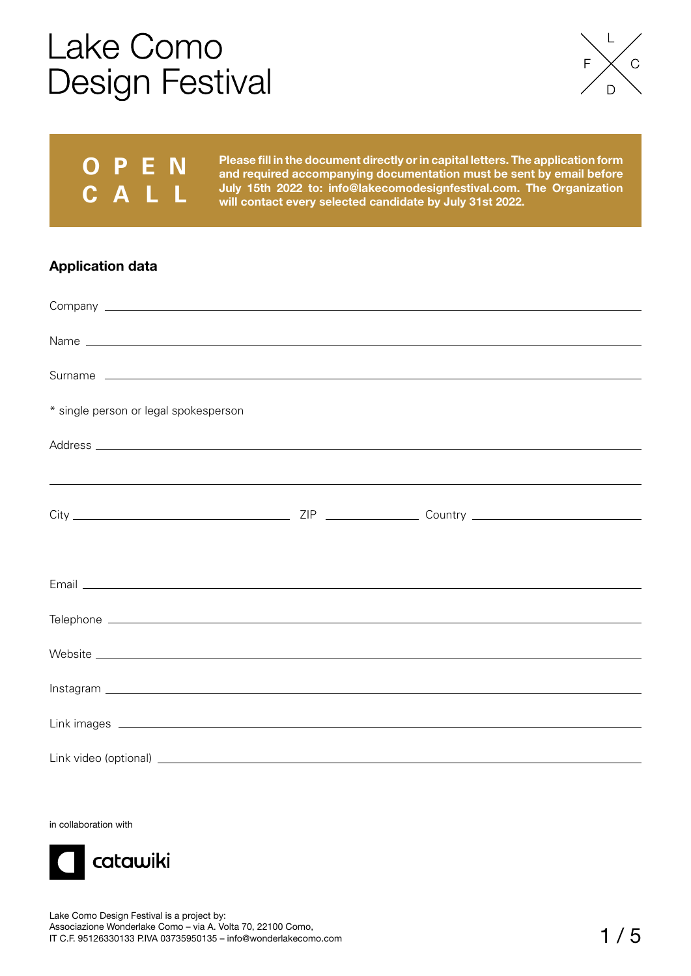

## **O P E N CALL**

**Please fill in the document directly or in capital letters. The application form and required accompanying documentation must be sent by email before July 15th 2022 to: info@lakecomodesignfestival.com. The Organization will contact every selected candidate by July 31st 2022.**

### **Application data**

| * single person or legal spokesperson                                                                                                                                                                                               |  |  |
|-------------------------------------------------------------------------------------------------------------------------------------------------------------------------------------------------------------------------------------|--|--|
|                                                                                                                                                                                                                                     |  |  |
| <u>,这一个人的人都是不是一个人的人,就是一个人的人,就是一个人的人,</u> 就是一个人的人,就是一个人的人,就是一个人的人,就是一个人的人,就是一个人的人,就是一个人的人                                                                                                                                            |  |  |
|                                                                                                                                                                                                                                     |  |  |
|                                                                                                                                                                                                                                     |  |  |
|                                                                                                                                                                                                                                     |  |  |
|                                                                                                                                                                                                                                     |  |  |
| Website experience and the contract of the contract of the contract of the contract of the contract of the contract of the contract of the contract of the contract of the contract of the contract of the contract of the con      |  |  |
|                                                                                                                                                                                                                                     |  |  |
| Link images <u>experience</u> and the contract of the contract of the contract of the contract of the contract of the contract of the contract of the contract of the contract of the contract of the contract of the contract of t |  |  |
|                                                                                                                                                                                                                                     |  |  |

in collaboration with

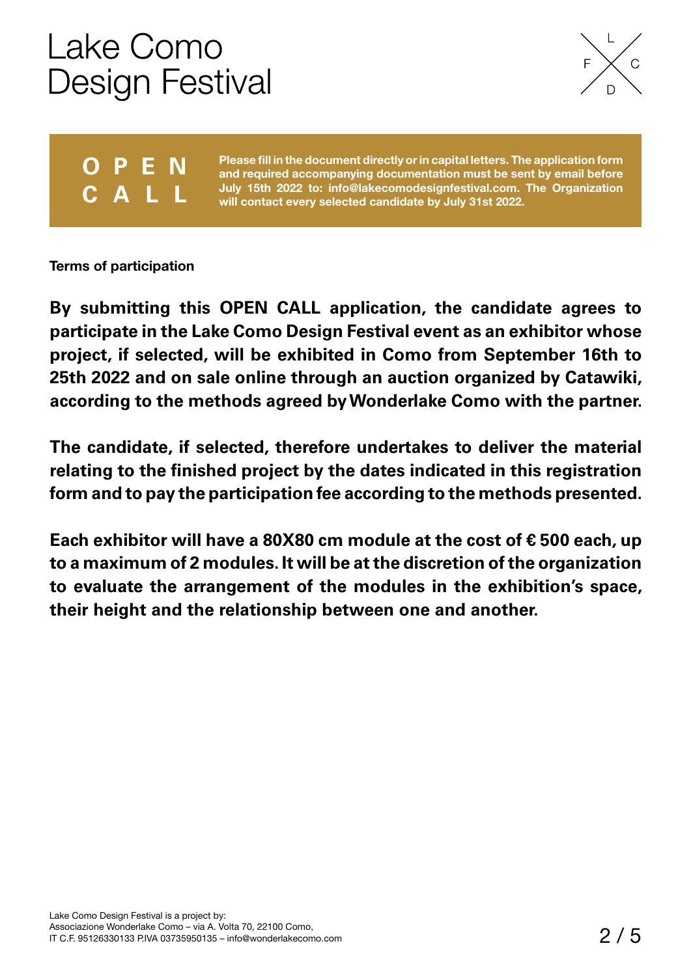

## **O P E N CALL**

**Please fill in the document directly or in capital letters. The application form and required accompanying documentation must be sent by email before July 15th 2022 to: info@lakecomodesignfestival.com. The Organization will contact every selected candidate by July 31st 2022.**

**Terms of participation**

**By submitting this OPEN CALL application, the candidate agrees to participate in the Lake Como Design Festival event as an exhibitor whose project, if selected, will be exhibited in Como from September 16th to 25th 2022 and on sale online through an auction organized by Catawiki, according to the methods agreed by Wonderlake Como with the partner.** 

**The candidate, if selected, therefore undertakes to deliver the material relating to the finished project by the dates indicated in this registration form and to pay the participation fee according to the methods presented.** 

**Each exhibitor will have a 80X80 cm module at the cost of € 500 each, up to a maximum of 2 modules. It will be at the discretion of the organization to evaluate the arrangement of the modules in the exhibition's space, their height and the relationship between one and another.**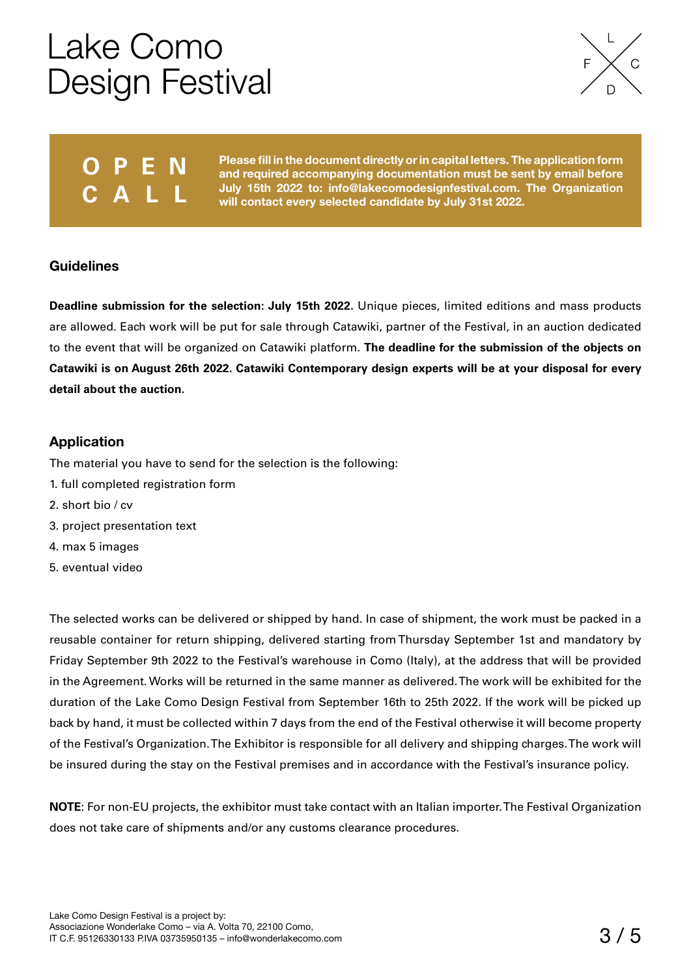

### **O P E N CALL**

**Please fill in the document directly or in capital letters. The application form and required accompanying documentation must be sent by email before July 15th 2022 to: info@lakecomodesignfestival.com. The Organization will contact every selected candidate by July 31st 2022.**

### **Guidelines**

**Deadline submission for the selection: July 15th 2022.** Unique pieces, limited editions and mass products are allowed. Each work will be put for sale through Catawiki, partner of the Festival, in an auction dedicated to the event that will be organized on Catawiki platform. **The deadline for the submission of the objects on Catawiki is on August 26th 2022. Catawiki Contemporary design experts will be at your disposal for every detail about the auction.**

### **Application**

The material you have to send for the selection is the following:

- 1. full completed registration form
- 2. short bio / cv
- 3. project presentation text
- 4. max 5 images
- 5. eventual video

The selected works can be delivered or shipped by hand. In case of shipment, the work must be packed in a reusable container for return shipping, delivered starting from Thursday September 1st and mandatory by Friday September 9th 2022 to the Festival's warehouse in Como (Italy), at the address that will be provided in the Agreement. Works will be returned in the same manner as delivered. The work will be exhibited for the duration of the Lake Como Design Festival from September 16th to 25th 2022. If the work will be picked up back by hand, it must be collected within 7 days from the end of the Festival otherwise it will become property of the Festival's Organization. The Exhibitor is responsible for all delivery and shipping charges. The work will be insured during the stay on the Festival premises and in accordance with the Festival's insurance policy.

**NOTE**: For non-EU projects, the exhibitor must take contact with an Italian importer. The Festival Organization does not take care of shipments and/or any customs clearance procedures.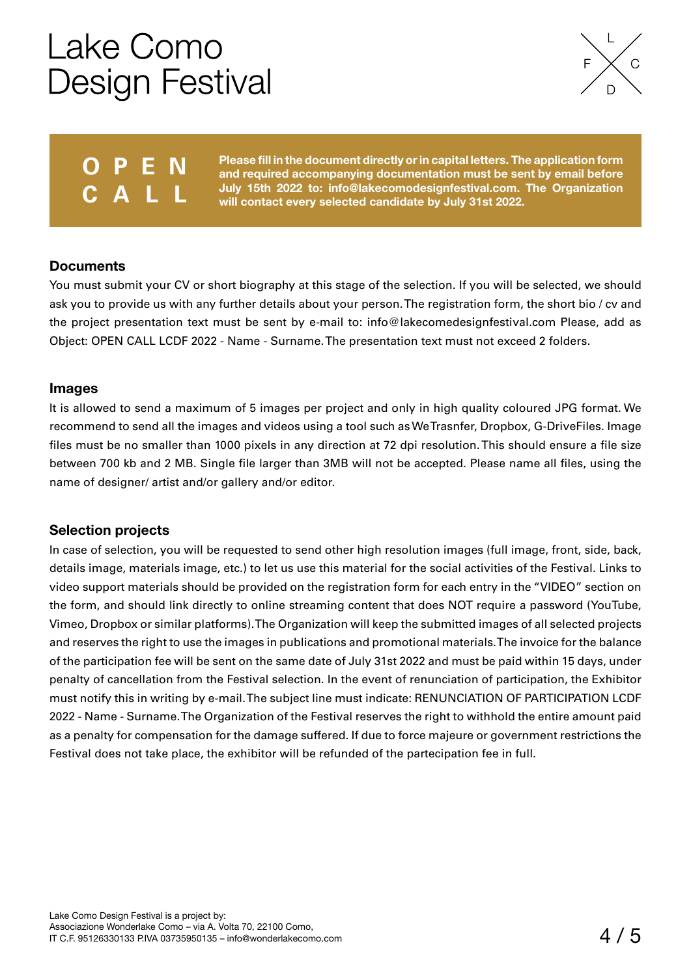

### **O P E N CALL**

**Please fill in the document directly or in capital letters. The application form and required accompanying documentation must be sent by email before July 15th 2022 to: info@lakecomodesignfestival.com. The Organization will contact every selected candidate by July 31st 2022.**

#### **Documents**

You must submit your CV or short biography at this stage of the selection. If you will be selected, we should ask you to provide us with any further details about your person. The registration form, the short bio / cv and the project presentation text must be sent by e-mail to: info@lakecomedesignfestival.com Please, add as Object: OPEN CALL LCDF 2022 - Name - Surname. The presentation text must not exceed 2 folders.

#### **Images**

It is allowed to send a maximum of 5 images per project and only in high quality coloured JPG format. We recommend to send all the images and videos using a tool such as We Trasnfer, Dropbox, G-DriveFiles. Image files must be no smaller than 1000 pixels in any direction at 72 dpi resolution. This should ensure a file size between 700 kb and 2 MB. Single file larger than 3MB will not be accepted. Please name all files, using the name of designer/ artist and/or gallery and/or editor.

#### **Selection projects**

In case of selection, you will be requested to send other high resolution images (full image, front, side, back, details image, materials image, etc.) to let us use this material for the social activities of the Festival. Links to video support materials should be provided on the registration form for each entry in the "VIDEO" section on the form, and should link directly to online streaming content that does NOT require a password (YouTube, Vimeo, Dropbox or similar platforms). The Organization will keep the submitted images of all selected projects and reserves the right to use the images in publications and promotional materials. The invoice for the balance of the participation fee will be sent on the same date of July 31st 2022 and must be paid within 15 days, under penalty of cancellation from the Festival selection. In the event of renunciation of participation, the Exhibitor must notify this in writing by e-mail. The subject line must indicate: RENUNCIATION OF PARTICIPATION LCDF 2022 - Name - Surname. The Organization of the Festival reserves the right to withhold the entire amount paid as a penalty for compensation for the damage suffered. If due to force majeure or government restrictions the Festival does not take place, the exhibitor will be refunded of the partecipation fee in full.